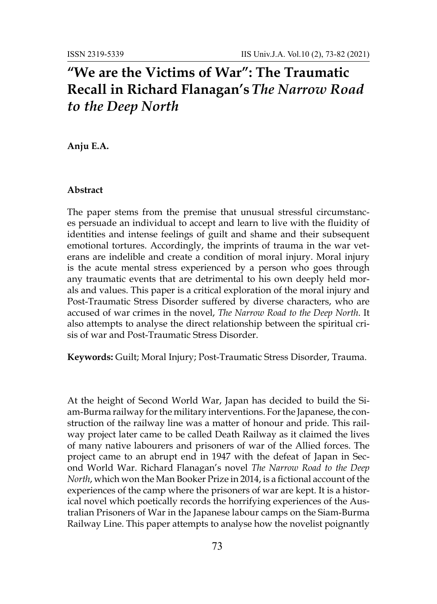## **"We are the Victims of War": The Traumatic Recall in Richard Flanagan's** *The Narrow Road to the Deep North*

**Anju E.A.**

## **Abstract**

The paper stems from the premise that unusual stressful circumstances persuade an individual to accept and learn to live with the fluidity of identities and intense feelings of guilt and shame and their subsequent emotional tortures. Accordingly, the imprints of trauma in the war veterans are indelible and create a condition of moral injury. Moral injury is the acute mental stress experienced by a person who goes through any traumatic events that are detrimental to his own deeply held morals and values. This paper is a critical exploration of the moral injury and Post-Traumatic Stress Disorder suffered by diverse characters, who are accused of war crimes in the novel, *The Narrow Road to the Deep North*. It also attempts to analyse the direct relationship between the spiritual crisis of war and Post-Traumatic Stress Disorder.

**Keywords:** Guilt; Moral Injury; Post-Traumatic Stress Disorder, Trauma.

At the height of Second World War, Japan has decided to build the Siam-Burma railway for the military interventions. For the Japanese, the construction of the railway line was a matter of honour and pride. This railway project later came to be called Death Railway as it claimed the lives of many native labourers and prisoners of war of the Allied forces. The project came to an abrupt end in 1947 with the defeat of Japan in Second World War. Richard Flanagan's novel *The Narrow Road to the Deep North*, which won the Man Booker Prize in 2014, is a fictional account of the experiences of the camp where the prisoners of war are kept. It is a historical novel which poetically records the horrifying experiences of the Australian Prisoners of War in the Japanese labour camps on the Siam-Burma Railway Line. This paper attempts to analyse how the novelist poignantly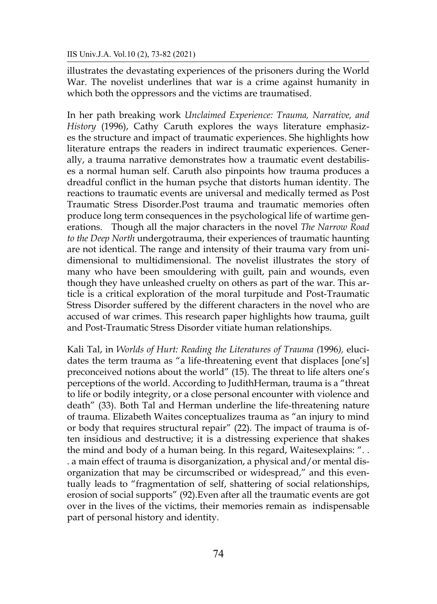illustrates the devastating experiences of the prisoners during the World War. The novelist underlines that war is a crime against humanity in which both the oppressors and the victims are traumatised.

In her path breaking work *Unclaimed Experience: Trauma, Narrative, and History* (1996), Cathy Caruth explores the ways literature emphasizes the structure and impact of traumatic experiences. She highlights how literature entraps the readers in indirect traumatic experiences. Generally, a trauma narrative demonstrates how a traumatic event destabilises a normal human self. Caruth also pinpoints how trauma produces a dreadful conflict in the human psyche that distorts human identity. The reactions to traumatic events are universal and medically termed as Post Traumatic Stress Disorder.Post trauma and traumatic memories often produce long term consequences in the psychological life of wartime generations. Though all the major characters in the novel *The Narrow Road to the Deep North* undergotrauma, their experiences of traumatic haunting are not identical. The range and intensity of their trauma vary from unidimensional to multidimensional. The novelist illustrates the story of many who have been smouldering with guilt, pain and wounds, even though they have unleashed cruelty on others as part of the war. This article is a critical exploration of the moral turpitude and Post-Traumatic Stress Disorder suffered by the different characters in the novel who are accused of war crimes. This research paper highlights how trauma, guilt and Post-Traumatic Stress Disorder vitiate human relationships.

Kali Tal, in *Worlds of Hurt: Reading the Literatures of Trauma (*1996*),* elucidates the term trauma as "a life-threatening event that displaces [one's] preconceived notions about the world" (15). The threat to life alters one's perceptions of the world. According to JudithHerman, trauma is a "threat to life or bodily integrity, or a close personal encounter with violence and death" (33). Both Tal and Herman underline the life-threatening nature of trauma. Elizabeth Waites conceptualizes trauma as "an injury to mind or body that requires structural repair" (22). The impact of trauma is often insidious and destructive; it is a distressing experience that shakes the mind and body of a human being. In this regard, Waitesexplains: ". . . a main effect of trauma is disorganization, a physical and/or mental disorganization that may be circumscribed or widespread," and this eventually leads to "fragmentation of self, shattering of social relationships, erosion of social supports" (92).Even after all the traumatic events are got over in the lives of the victims, their memories remain as indispensable part of personal history and identity.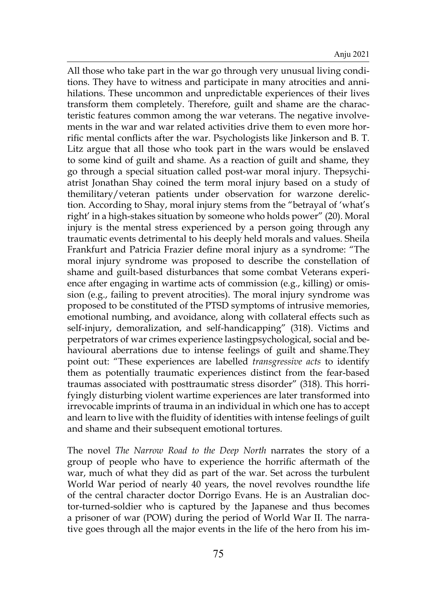All those who take part in the war go through very unusual living conditions. They have to witness and participate in many atrocities and annihilations. These uncommon and unpredictable experiences of their lives transform them completely. Therefore, guilt and shame are the characteristic features common among the war veterans. The negative involvements in the war and war related activities drive them to even more horrific mental conflicts after the war. Psychologists like Jinkerson and B. T. Litz argue that all those who took part in the wars would be enslaved to some kind of guilt and shame. As a reaction of guilt and shame, they go through a special situation called post-war moral injury. Thepsychiatrist Jonathan Shay coined the term moral injury based on a study of themilitary/veteran patients under observation for warzone dereliction. According to Shay, moral injury stems from the "betrayal of 'what's right' in a high-stakes situation by someone who holds power" (20). Moral injury is the mental stress experienced by a person going through any traumatic events detrimental to his deeply held morals and values. Sheila Frankfurt and Patricia Frazier define moral injury as a syndrome: "The moral injury syndrome was proposed to describe the constellation of shame and guilt-based disturbances that some combat Veterans experience after engaging in wartime acts of commission (e.g., killing) or omission (e.g., failing to prevent atrocities). The moral injury syndrome was proposed to be constituted of the PTSD symptoms of intrusive memories, emotional numbing, and avoidance, along with collateral effects such as self-injury, demoralization, and self-handicapping" (318). Victims and perpetrators of war crimes experience lastingpsychological, social and behavioural aberrations due to intense feelings of guilt and shame.They point out: "These experiences are labelled *transgressive acts* to identify them as potentially traumatic experiences distinct from the fear-based traumas associated with posttraumatic stress disorder" (318). This horrifyingly disturbing violent wartime experiences are later transformed into irrevocable imprints of trauma in an individual in which one has to accept and learn to live with the fluidity of identities with intense feelings of guilt and shame and their subsequent emotional tortures.

The novel *The Narrow Road to the Deep North* narrates the story of a group of people who have to experience the horrific aftermath of the war, much of what they did as part of the war. Set across the turbulent World War period of nearly 40 years, the novel revolves roundthe life of the central character doctor Dorrigo Evans. He is an Australian doctor-turned-soldier who is captured by the Japanese and thus becomes a prisoner of war (POW) during the period of World War II. The narrative goes through all the major events in the life of the hero from his im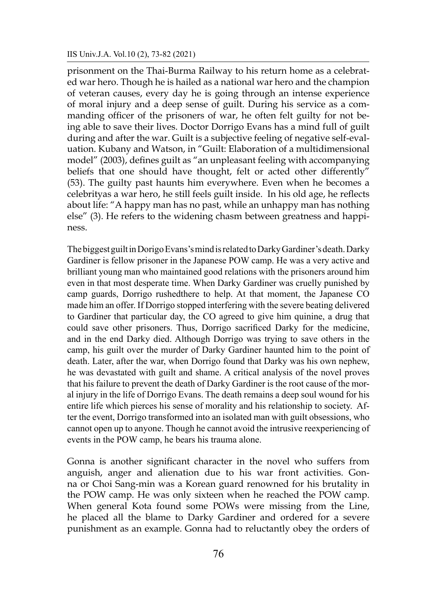prisonment on the Thai-Burma Railway to his return home as a celebrated war hero. Though he is hailed as a national war hero and the champion of veteran causes, every day he is going through an intense experience of moral injury and a deep sense of guilt. During his service as a commanding officer of the prisoners of war, he often felt guilty for not being able to save their lives. Doctor Dorrigo Evans has a mind full of guilt during and after the war. Guilt is a subjective feeling of negative self-evaluation. Kubany and Watson, in "Guilt: Elaboration of a multidimensional model" (2003), defines guilt as "an unpleasant feeling with accompanying beliefs that one should have thought, felt or acted other differently" (53). The guilty past haunts him everywhere. Even when he becomes a celebrityas a war hero, he still feels guilt inside. In his old age, he reflects about life: "A happy man has no past, while an unhappy man has nothing else" (3). He refers to the widening chasm between greatness and happiness.

The biggest guilt in Dorigo Evans's mind is related to Darky Gardiner's death. Darky Gardiner is fellow prisoner in the Japanese POW camp. He was a very active and brilliant young man who maintained good relations with the prisoners around him even in that most desperate time. When Darky Gardiner was cruelly punished by camp guards, Dorrigo rushedthere to help. At that moment, the Japanese CO made him an offer. If Dorrigo stopped interfering with the severe beating delivered to Gardiner that particular day, the CO agreed to give him quinine, a drug that could save other prisoners. Thus, Dorrigo sacrificed Darky for the medicine, and in the end Darky died. Although Dorrigo was trying to save others in the camp, his guilt over the murder of Darky Gardiner haunted him to the point of death. Later, after the war, when Dorrigo found that Darky was his own nephew, he was devastated with guilt and shame. A critical analysis of the novel proves that his failure to prevent the death of Darky Gardiner is the root cause of the moral injury in the life of Dorrigo Evans. The death remains a deep soul wound for his entire life which pierces his sense of morality and his relationship to society. After the event, Dorrigo transformed into an isolated man with guilt obsessions, who cannot open up to anyone. Though he cannot avoid the intrusive reexperiencing of events in the POW camp, he bears his trauma alone.

Gonna is another significant character in the novel who suffers from anguish, anger and alienation due to his war front activities. Gonna or Choi Sang-min was a Korean guard renowned for his brutality in the POW camp. He was only sixteen when he reached the POW camp. When general Kota found some POWs were missing from the Line, he placed all the blame to Darky Gardiner and ordered for a severe punishment as an example. Gonna had to reluctantly obey the orders of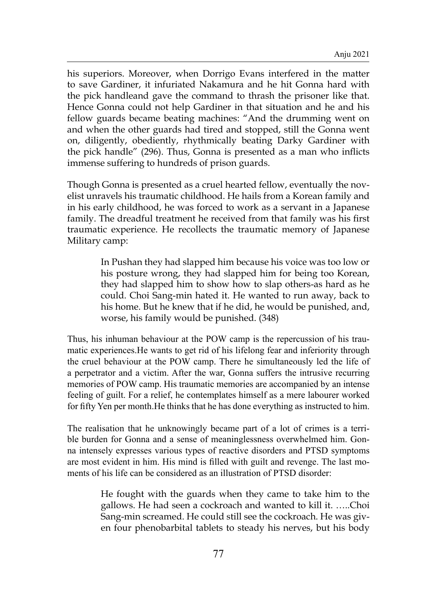his superiors. Moreover, when Dorrigo Evans interfered in the matter to save Gardiner, it infuriated Nakamura and he hit Gonna hard with the pick handleand gave the command to thrash the prisoner like that. Hence Gonna could not help Gardiner in that situation and he and his fellow guards became beating machines: "And the drumming went on and when the other guards had tired and stopped, still the Gonna went on, diligently, obediently, rhythmically beating Darky Gardiner with the pick handle" (296). Thus, Gonna is presented as a man who inflicts immense suffering to hundreds of prison guards.

Though Gonna is presented as a cruel hearted fellow, eventually the novelist unravels his traumatic childhood. He hails from a Korean family and in his early childhood, he was forced to work as a servant in a Japanese family. The dreadful treatment he received from that family was his first traumatic experience. He recollects the traumatic memory of Japanese Military camp:

> In Pushan they had slapped him because his voice was too low or his posture wrong, they had slapped him for being too Korean, they had slapped him to show how to slap others-as hard as he could. Choi Sang-min hated it. He wanted to run away, back to his home. But he knew that if he did, he would be punished, and, worse, his family would be punished. (348)

Thus, his inhuman behaviour at the POW camp is the repercussion of his traumatic experiences.He wants to get rid of his lifelong fear and inferiority through the cruel behaviour at the POW camp. There he simultaneously led the life of a perpetrator and a victim. After the war, Gonna suffers the intrusive recurring memories of POW camp. His traumatic memories are accompanied by an intense feeling of guilt. For a relief, he contemplates himself as a mere labourer worked for fifty Yen per month.He thinks that he has done everything as instructed to him.

The realisation that he unknowingly became part of a lot of crimes is a terrible burden for Gonna and a sense of meaninglessness overwhelmed him. Gonna intensely expresses various types of reactive disorders and PTSD symptoms are most evident in him. His mind is filled with guilt and revenge. The last moments of his life can be considered as an illustration of PTSD disorder:

> He fought with the guards when they came to take him to the gallows. He had seen a cockroach and wanted to kill it. …..Choi Sang-min screamed. He could still see the cockroach. He was given four phenobarbital tablets to steady his nerves, but his body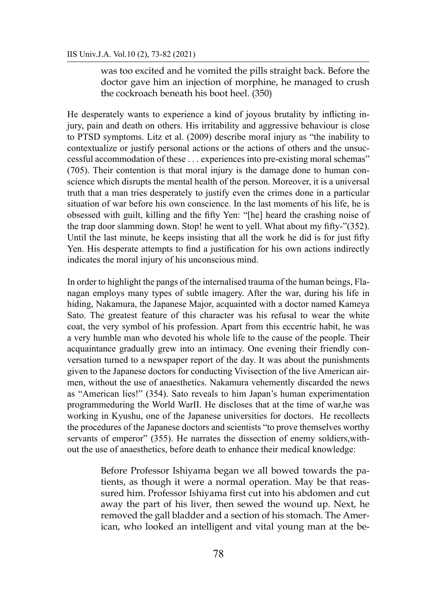was too excited and he vomited the pills straight back. Before the doctor gave him an injection of morphine, he managed to crush the cockroach beneath his boot heel. (350)

He desperately wants to experience a kind of joyous brutality by inflicting injury, pain and death on others. His irritability and aggressive behaviour is close to PTSD symptoms. Litz et al. (2009) describe moral injury as "the inability to contextualize or justify personal actions or the actions of others and the unsuccessful accommodation of these . . . experiences into pre-existing moral schemas" (705). Their contention is that moral injury is the damage done to human conscience which disrupts the mental health of the person. Moreover, it is a universal truth that a man tries desperately to justify even the crimes done in a particular situation of war before his own conscience. In the last moments of his life, he is obsessed with guilt, killing and the fifty Yen: "[he] heard the crashing noise of the trap door slamming down. Stop! he went to yell. What about my fifty-"(352). Until the last minute, he keeps insisting that all the work he did is for just fifty Yen. His desperate attempts to find a justification for his own actions indirectly indicates the moral injury of his unconscious mind.

In order to highlight the pangs of the internalised trauma of the human beings, Flanagan employs many types of subtle imagery. After the war, during his life in hiding, Nakamura, the Japanese Major, acquainted with a doctor named Kameya Sato. The greatest feature of this character was his refusal to wear the white coat, the very symbol of his profession. Apart from this eccentric habit, he was a very humble man who devoted his whole life to the cause of the people. Their acquaintance gradually grew into an intimacy. One evening their friendly conversation turned to a newspaper report of the day. It was about the punishments given to the Japanese doctors for conducting Vivisection of the live American airmen, without the use of anaesthetics. Nakamura vehemently discarded the news as "American lies!" (354). Sato reveals to him Japan's human experimentation programmeduring the World WarII. He discloses that at the time of war,he was working in Kyushu, one of the Japanese universities for doctors. He recollects the procedures of the Japanese doctors and scientists "to prove themselves worthy servants of emperor" (355). He narrates the dissection of enemy soldiers, without the use of anaesthetics, before death to enhance their medical knowledge:

> Before Professor Ishiyama began we all bowed towards the patients, as though it were a normal operation. May be that reassured him. Professor Ishiyama first cut into his abdomen and cut away the part of his liver, then sewed the wound up. Next, he removed the gall bladder and a section of his stomach. The American, who looked an intelligent and vital young man at the be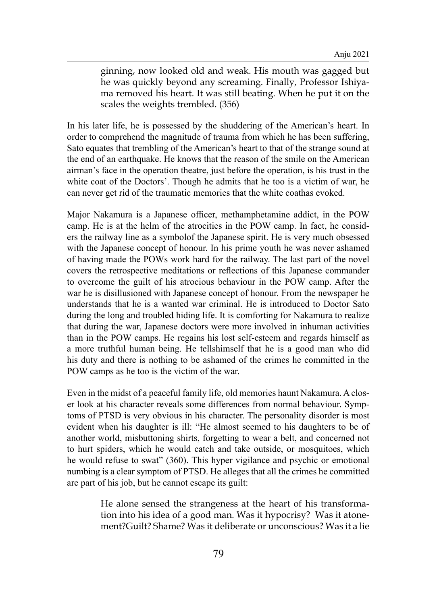ginning, now looked old and weak. His mouth was gagged but he was quickly beyond any screaming. Finally, Professor Ishiyama removed his heart. It was still beating. When he put it on the scales the weights trembled. (356)

In his later life, he is possessed by the shuddering of the American's heart. In order to comprehend the magnitude of trauma from which he has been suffering, Sato equates that trembling of the American's heart to that of the strange sound at the end of an earthquake. He knows that the reason of the smile on the American airman's face in the operation theatre, just before the operation, is his trust in the white coat of the Doctors'. Though he admits that he too is a victim of war, he can never get rid of the traumatic memories that the white coathas evoked.

Major Nakamura is a Japanese officer, methamphetamine addict, in the POW camp. He is at the helm of the atrocities in the POW camp. In fact, he considers the railway line as a symbolof the Japanese spirit. He is very much obsessed with the Japanese concept of honour. In his prime youth he was never ashamed of having made the POWs work hard for the railway. The last part of the novel covers the retrospective meditations or reflections of this Japanese commander to overcome the guilt of his atrocious behaviour in the POW camp. After the war he is disillusioned with Japanese concept of honour. From the newspaper he understands that he is a wanted war criminal. He is introduced to Doctor Sato during the long and troubled hiding life. It is comforting for Nakamura to realize that during the war, Japanese doctors were more involved in inhuman activities than in the POW camps. He regains his lost self-esteem and regards himself as a more truthful human being. He tellshimself that he is a good man who did his duty and there is nothing to be ashamed of the crimes he committed in the POW camps as he too is the victim of the war.

Even in the midst of a peaceful family life, old memories haunt Nakamura. A closer look at his character reveals some differences from normal behaviour. Symptoms of PTSD is very obvious in his character. The personality disorder is most evident when his daughter is ill: "He almost seemed to his daughters to be of another world, misbuttoning shirts, forgetting to wear a belt, and concerned not to hurt spiders, which he would catch and take outside, or mosquitoes, which he would refuse to swat" (360). This hyper vigilance and psychic or emotional numbing is a clear symptom of PTSD. He alleges that all the crimes he committed are part of his job, but he cannot escape its guilt:

> He alone sensed the strangeness at the heart of his transformation into his idea of a good man. Was it hypocrisy? Was it atonement?Guilt? Shame? Was it deliberate or unconscious? Was it a lie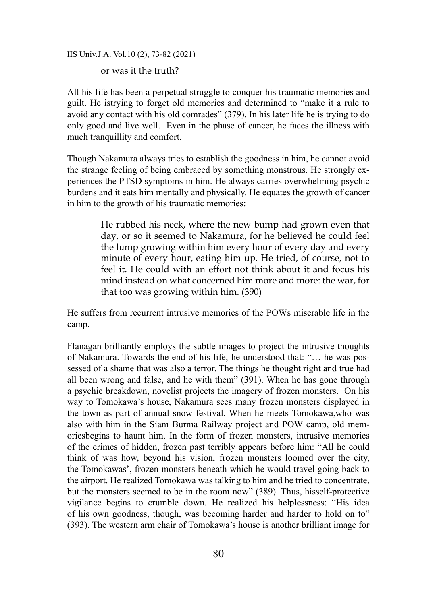IIS Univ.J.A. Vol.10 (2), 73-82 (2021)

or was it the truth?

All his life has been a perpetual struggle to conquer his traumatic memories and guilt. He istrying to forget old memories and determined to "make it a rule to avoid any contact with his old comrades" (379). In his later life he is trying to do only good and live well. Even in the phase of cancer, he faces the illness with much tranquillity and comfort.

Though Nakamura always tries to establish the goodness in him, he cannot avoid the strange feeling of being embraced by something monstrous. He strongly experiences the PTSD symptoms in him. He always carries overwhelming psychic burdens and it eats him mentally and physically. He equates the growth of cancer in him to the growth of his traumatic memories:

> He rubbed his neck, where the new bump had grown even that day, or so it seemed to Nakamura, for he believed he could feel the lump growing within him every hour of every day and every minute of every hour, eating him up. He tried, of course, not to feel it. He could with an effort not think about it and focus his mind instead on what concerned him more and more: the war, for that too was growing within him. (390)

He suffers from recurrent intrusive memories of the POWs miserable life in the camp.

Flanagan brilliantly employs the subtle images to project the intrusive thoughts of Nakamura. Towards the end of his life, he understood that: "… he was possessed of a shame that was also a terror. The things he thought right and true had all been wrong and false, and he with them" (391). When he has gone through a psychic breakdown, novelist projects the imagery of frozen monsters. On his way to Tomokawa's house, Nakamura sees many frozen monsters displayed in the town as part of annual snow festival. When he meets Tomokawa,who was also with him in the Siam Burma Railway project and POW camp, old memoriesbegins to haunt him. In the form of frozen monsters, intrusive memories of the crimes of hidden, frozen past terribly appears before him: "All he could think of was how, beyond his vision, frozen monsters loomed over the city, the Tomokawas', frozen monsters beneath which he would travel going back to the airport. He realized Tomokawa was talking to him and he tried to concentrate, but the monsters seemed to be in the room now" (389). Thus, hisself-protective vigilance begins to crumble down. He realized his helplessness: "His idea of his own goodness, though, was becoming harder and harder to hold on to" (393). The western arm chair of Tomokawa's house is another brilliant image for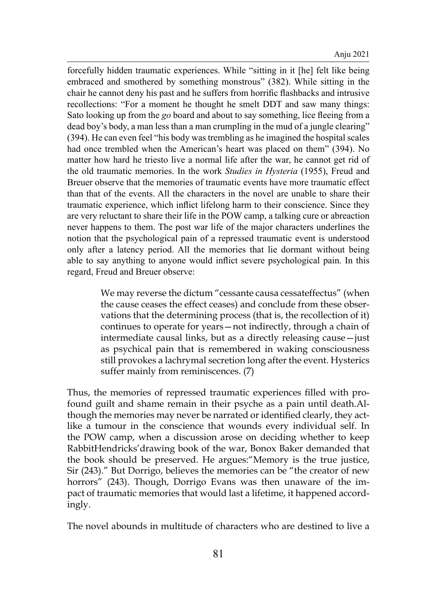forcefully hidden traumatic experiences. While "sitting in it [he] felt like being embraced and smothered by something monstrous" (382). While sitting in the chair he cannot deny his past and he suffers from horrific flashbacks and intrusive recollections: "For a moment he thought he smelt DDT and saw many things: Sato looking up from the *go* board and about to say something, lice fleeing from a dead boy's body, a man less than a man crumpling in the mud of a jungle clearing" (394). He can even feel "his body was trembling as he imagined the hospital scales had once trembled when the American's heart was placed on them" (394). No matter how hard he triesto live a normal life after the war, he cannot get rid of the old traumatic memories. In the work *Studies in Hysteria* (1955), Freud and Breuer observe that the memories of traumatic events have more traumatic effect than that of the events. All the characters in the novel are unable to share their traumatic experience, which inflict lifelong harm to their conscience. Since they are very reluctant to share their life in the POW camp, a talking cure or abreaction never happens to them. The post war life of the major characters underlines the notion that the psychological pain of a repressed traumatic event is understood only after a latency period. All the memories that lie dormant without being able to say anything to anyone would inflict severe psychological pain. In this regard, Freud and Breuer observe:

> We may reverse the dictum "cessante causa cessateffectus" (when the cause ceases the effect ceases) and conclude from these observations that the determining process (that is, the recollection of it) continues to operate for years—not indirectly, through a chain of intermediate causal links, but as a directly releasing cause—just as psychical pain that is remembered in waking consciousness still provokes a lachrymal secretion long after the event. Hysterics suffer mainly from reminiscences. (7)

Thus, the memories of repressed traumatic experiences filled with profound guilt and shame remain in their psyche as a pain until death.Although the memories may never be narrated or identified clearly, they actlike a tumour in the conscience that wounds every individual self. In the POW camp, when a discussion arose on deciding whether to keep RabbitHendricks'drawing book of the war, Bonox Baker demanded that the book should be preserved. He argues:"Memory is the true justice, Sir (243)." But Dorrigo, believes the memories can be "the creator of new horrors" (243). Though, Dorrigo Evans was then unaware of the impact of traumatic memories that would last a lifetime, it happened accordingly.

The novel abounds in multitude of characters who are destined to live a